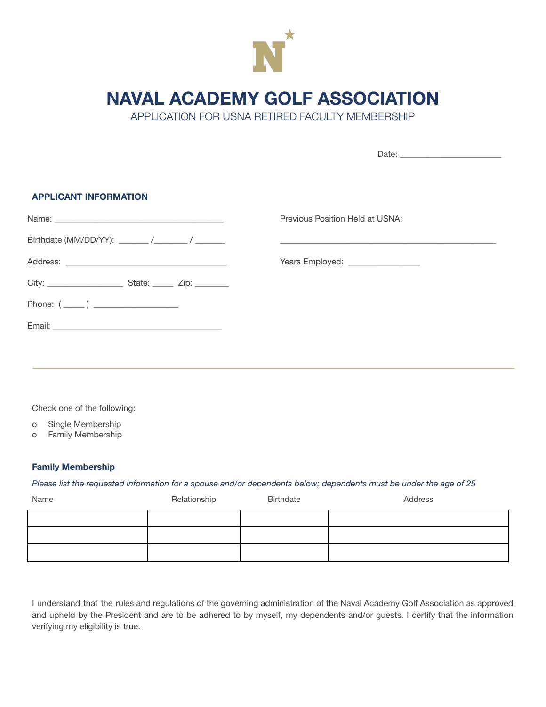

# **NAVAL ACADEMY GOLF ASSOCIATION**

APPLICATION FOR USNA RETIRED FACULTY MEMBERSHIP

Date: \_\_\_\_\_\_\_\_\_\_\_\_\_\_\_\_\_\_\_\_\_\_\_\_

# **APPLICANT INFORMATION**

|                 | Previous Position Held at USNA:   |  |
|-----------------|-----------------------------------|--|
|                 |                                   |  |
|                 | Years Employed: _________________ |  |
|                 |                                   |  |
| Phone: $(\_\_)$ |                                   |  |
|                 |                                   |  |
|                 |                                   |  |

Check one of the following:

- o Single Membership
- o Family Membership

## **Family Membership**

### Please list the requested information for a spouse and/or dependents below; dependents must be under the age of 25

| Name | Relationship | Birthdate | Address |
|------|--------------|-----------|---------|
|      |              |           |         |
|      |              |           |         |
|      |              |           |         |

I understand that the rules and regulations of the governing administration of the Naval Academy Golf Association as approved and upheld by the President and are to be adhered to by myself, my dependents and/or guests. I certify that the information verifying my eligibility is true.